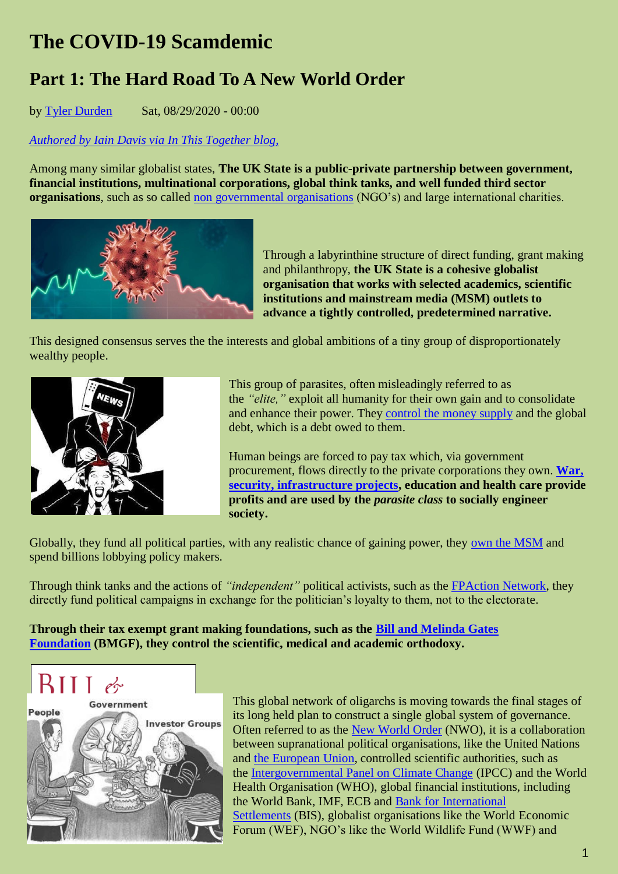# **The COVID-19 Scamdemic**

# **Part 1: The Hard Road To A New World Order**

by [Tyler Durden](https://www.zerohedge.com/users/tyler-durden) Sat, 08/29/2020 - 00:00

*Authored by Iain [Davis via In This Together blog,](https://in-this-together.com/covid-19-scamdemic-part-1/)*

Among many similar globalist states, **The UK State is a public-private partnership between government, financial institutions, multinational corporations, global think tanks, and well funded third sector organisations**, such as so called [non governmental organisations](https://in-this-together.com/ccdh-part-1/) (NGO's) and large international charities.



Through a labyrinthine structure of direct funding, grant making and philanthropy, **the UK State is a cohesive globalist organisation that works with selected academics, scientific institutions and mainstream media (MSM) outlets to advance a tightly controlled, predetermined narrative.**

This designed consensus serves the the interests and global ambitions of a tiny group of disproportionately wealthy people.



This group of parasites, often misleadingly referred to as the *"elite,"* exploit all humanity for their own gain and to consolidate and enhance their power. They [control the money supply](https://in-this-together.com/how-banksters-rule-the-world/) and the global debt, which is a debt owed to them.

Human beings are forced to pay tax which, via government procurement, flows directly to the private corporations they own. **[War,](https://in-this-together.com/balkanisation-the-failed-state-model-of-corporate-profit-generation/)  [security, infrastructure projects,](https://in-this-together.com/balkanisation-the-failed-state-model-of-corporate-profit-generation/) education and health care provide profits and are used by the** *parasite class* **to socially engineer society.**

Globally, they fund all political parties, with any realistic chance of gaining power, they [own the MSM](https://www.mediareform.org.uk/wp-content/uploads/2019/03/FINALonline2.pdf) and spend billions lobbying policy makers.

Through think tanks and the actions of *"independent"* political activists, such as the [FPAction Network,](https://www.fpactionnetwork.org/) they directly fund political campaigns in exchange for the politician's loyalty to them, not to the electorate.

**Through their tax exempt grant making foundations, such as the [Bill and Melinda Gates](https://www.gatesfoundation.org/How-We-Work/Quick-Links/Grants-Database/Grants/2019/03/OPP1206040)  [Foundation](https://www.gatesfoundation.org/How-We-Work/Quick-Links/Grants-Database/Grants/2019/03/OPP1206040) (BMGF), they control the scientific, medical and academic orthodoxy.**



This global network of oligarchs is moving towards the final stages of its long held plan to construct a single global system of governance. Often referred to as the [New World Order](https://in-this-together.com/who-are-the-new-world-order-a-brief-history/) (NWO), it is a collaboration between supranational political organisations, like the United Nations and [the European Union,](https://in-this-together.com/the-new-world-order-and-the-european-union/) controlled scientific authorities, such as the [Intergovernmental Panel on Climate Change](https://in-this-together.com/a-climate-emergency-fit-for-a-parasite-economy-part-3/) (IPCC) and the World Health Organisation (WHO), global financial institutions, including the World Bank, IMF, ECB and [Bank for International](https://www.bis.org/)  [Settlements](https://www.bis.org/) (BIS), globalist organisations like the World Economic Forum (WEF), NGO's like the World Wildlife Fund (WWF) and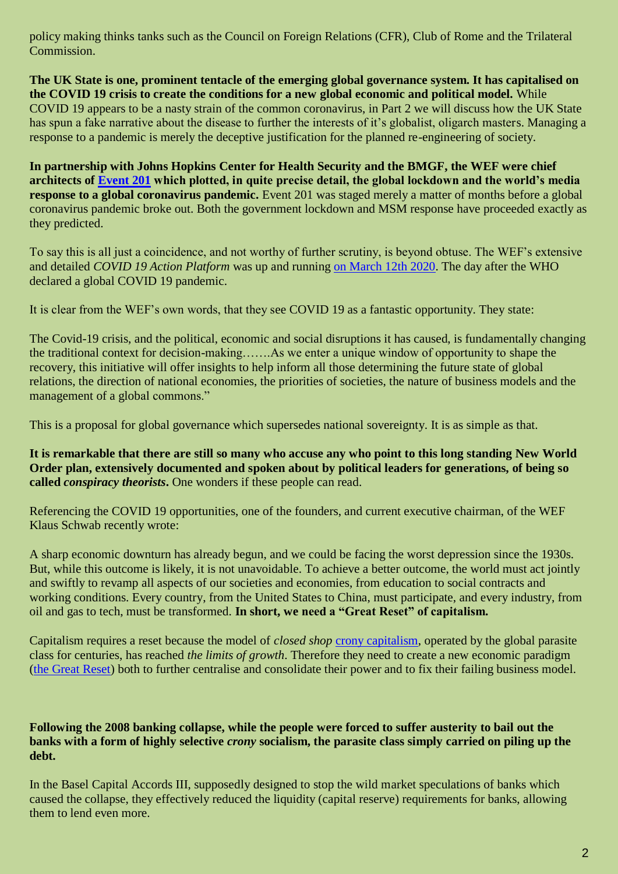policy making thinks tanks such as the Council on Foreign Relations (CFR), Club of Rome and the Trilateral Commission.

**The UK State is one, prominent tentacle of the emerging global governance system. It has capitalised on the COVID 19 crisis to create the conditions for a new global economic and political model.** While COVID 19 appears to be a nasty strain of the common coronavirus, in Part 2 we will discuss how the UK State has spun a fake narrative about the disease to further the interests of it's globalist, oligarch masters. Managing a response to a pandemic is merely the deceptive justification for the planned re-engineering of society.

**In partnership with Johns Hopkins Center for Health Security and the BMGF, the WEF were chief architects of [Event 201](https://www.centerforhealthsecurity.org/event201/about) which plotted, in quite precise detail, the global lockdown and the world's media response to a global coronavirus pandemic.** Event 201 was staged merely a matter of months before a global coronavirus pandemic broke out. Both the government lockdown and MSM response have proceeded exactly as they predicted.

To say this is all just a coincidence, and not worthy of further scrutiny, is beyond obtuse. The WEF's extensive and detailed *COVID 19 Action Platform* was up and running [on March 12th 2020.](https://web.archive.org/web/20200312102813/https:/www.weforum.org/platforms/covid-action-platform/) The day after the WHO declared a global COVID 19 pandemic.

It is clear from the WEF's own words, that they see COVID 19 as a fantastic opportunity. They state:

The Covid-19 crisis, and the political, economic and social disruptions it has caused, is fundamentally changing the traditional context for decision-making…….As we enter a unique window of opportunity to shape the recovery, this initiative will offer insights to help inform all those determining the future state of global relations, the direction of national economies, the priorities of societies, the nature of business models and the management of a global commons."

This is a proposal for global governance which supersedes national sovereignty. It is as simple as that.

**It is remarkable that there are still so many who accuse any who point to this long standing New World Order plan, extensively documented and spoken about by political leaders for generations, of being so called** *conspiracy theorists***.** One wonders if these people can read.

Referencing the COVID 19 opportunities, one of the founders, and current executive chairman, of the WEF Klaus Schwab recently wrote:

A sharp economic downturn has already begun, and we could be facing the worst depression since the 1930s. But, while this outcome is likely, it is not unavoidable. To achieve a better outcome, the world must act jointly and swiftly to revamp all aspects of our societies and economies, from education to social contracts and working conditions. Every country, from the United States to China, must participate, and every industry, from oil and gas to tech, must be transformed. **In short, we need a "Great Reset" of capitalism.**

Capitalism requires a reset because the model of *closed shop* [crony capitalism,](https://en.wikipedia.org/wiki/Crony_capitalism) operated by the global parasite class for centuries, has reached *the limits of growth*. Therefore they need to create a new economic paradigm [\(the Great Reset\)](https://www.weforum.org/great-reset) both to further centralise and consolidate their power and to fix their failing business model.

#### **Following the 2008 banking collapse, while the people were forced to suffer austerity to bail out the banks with a form of highly selective** *crony* **socialism, the parasite class simply carried on piling up the debt.**

In the Basel Capital Accords III, supposedly designed to stop the wild market speculations of banks which caused the collapse, they effectively reduced the liquidity (capital reserve) requirements for banks, allowing them to lend even more.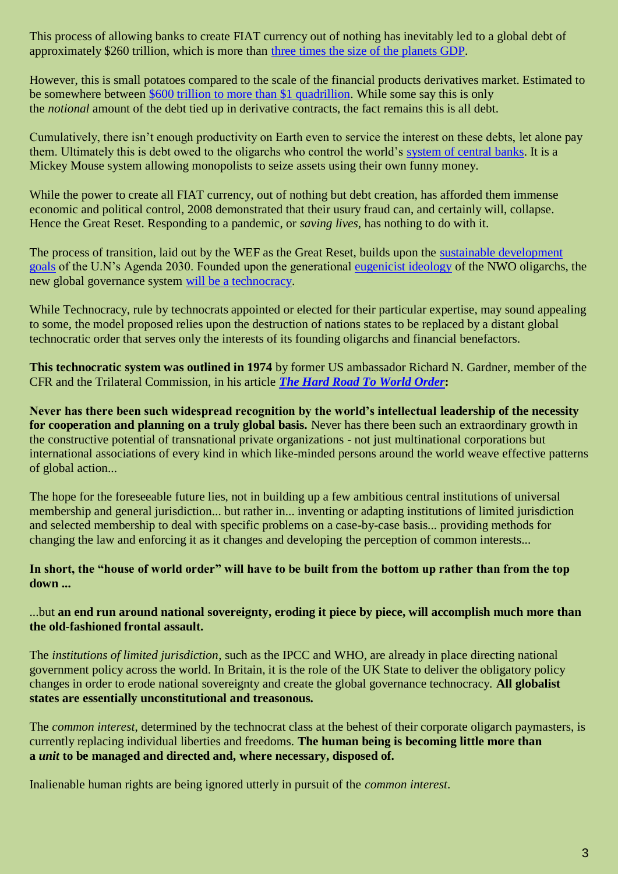This process of allowing banks to create FIAT currency out of nothing has inevitably led to a global debt of approximately \$260 trillion, which is more than [three times the size of the planets GDP.](https://economictimes.indiatimes.com/news/international/business/global-debt-hits-record-high-of-331-of-gdp-in-q1-iif/articleshow/77000231.cms)

However, this is small potatoes compared to the scale of the financial products derivatives market. Estimated to be somewhere between [\\$600 trillion to more than \\$1 quadrillion.](https://web.archive.org/web/20200422084209/https:/www.bis.org/publ/otc_hy1911.htm) While some say this is only the *notional* amount of the debt tied up in derivative contracts, the fact remains this is all debt.

Cumulatively, there isn't enough productivity on Earth even to service the interest on these debts, let alone pay them. Ultimately this is debt owed to the oligarchs who control the world's [system of central banks.](https://in-this-together.com/how-banksters-rule-the-world/) It is a Mickey Mouse system allowing monopolists to seize assets using their own funny money.

While the power to create all FIAT currency, out of nothing but debt creation, has afforded them immense economic and political control, 2008 demonstrated that their usury fraud can, and certainly will, collapse. Hence the Great Reset. Responding to a pandemic, or *saving lives*, has nothing to do with it.

The process of transition, laid out by the WEF as the Great Reset, builds upon the [sustainable development](https://www.un.org/sustainabledevelopment/development-agenda/)  [goals](https://www.un.org/sustainabledevelopment/development-agenda/) of the U.N's Agenda 2030. Founded upon the generational [eugenicist ideology](https://hive.blog/news/@corbettreport/from-bioethics-to-eugenics) of the NWO oligarchs, the new global governance system [will be a technocracy.](https://www.technocracy.news/pandemic-panic-to-usher-in-the-uns-2030-agenda-ten-years-early/)

While Technocracy, rule by technocrats appointed or elected for their particular expertise, may sound appealing to some, the model proposed relies upon the destruction of nations states to be replaced by a distant global technocratic order that serves only the interests of its founding oligarchs and financial benefactors.

**This technocratic system was outlined in 1974** by former US ambassador Richard N. Gardner, member of the CFR and the Trilateral Commission, in his article *[The Hard Road To World Order](https://docs.google.com/file/d/0B7UjwZXfLpG6a21IeEgyTHZsSk0/preview)***:**

**Never has there been such widespread recognition by the world's intellectual leadership of the necessity for cooperation and planning on a truly global basis.** Never has there been such an extraordinary growth in the constructive potential of transnational private organizations - not just multinational corporations but international associations of every kind in which like-minded persons around the world weave effective patterns of global action...

The hope for the foreseeable future lies, not in building up a few ambitious central institutions of universal membership and general jurisdiction... but rather in... inventing or adapting institutions of limited jurisdiction and selected membership to deal with specific problems on a case-by-case basis... providing methods for changing the law and enforcing it as it changes and developing the perception of common interests...

#### **In short, the "house of world order" will have to be built from the bottom up rather than from the top down ...**

#### ...but **an end run around national sovereignty, eroding it piece by piece, will accomplish much more than the old-fashioned frontal assault.**

The *institutions of limited jurisdiction*, such as the IPCC and WHO, are already in place directing national government policy across the world. In Britain, it is the role of the UK State to deliver the obligatory policy changes in order to erode national sovereignty and create the global governance technocracy. **All globalist states are essentially unconstitutional and treasonous.**

The *common interest*, determined by the technocrat class at the behest of their corporate oligarch paymasters, is currently replacing individual liberties and freedoms. **The human being is becoming little more than a** *unit* **to be managed and directed and, where necessary, disposed of.** 

Inalienable human rights are being ignored utterly in pursuit of the *common interest*.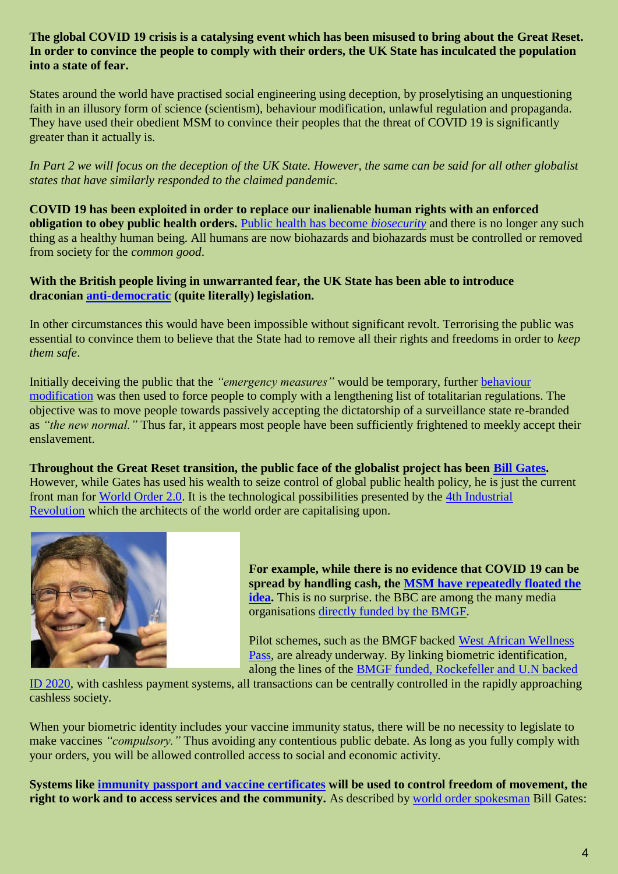#### **The global COVID 19 crisis is a catalysing event which has been misused to bring about the Great Reset. In order to convince the people to comply with their orders, the UK State has inculcated the population into a state of fear.**

States around the world have practised social engineering using deception, by proselytising an unquestioning faith in an illusory form of science (scientism), behaviour modification, unlawful regulation and propaganda. They have used their obedient MSM to convince their peoples that the threat of COVID 19 is significantly greater than it actually is.

*In Part 2 we will focus on the deception of the UK State. However, the same can be said for all other globalist states that have similarly responded to the claimed pandemic.*

**COVID 19 has been exploited in order to replace our inalienable human rights with an enforced obligation to obey public health orders.** [Public health has become](https://medium.com/@ddean3000/biosecurity-and-politics-giorgio-agamben-396f9ab3b6f4#:~:text=Rare%20are%20those%20who%20attempt,governance%20of%20men%20and%20things) *biosecurity* and there is no longer any such thing as a healthy human being. All humans are now biohazards and biohazards must be controlled or removed from society for the *common good*.

#### **With the British people living in unwarranted fear, the UK State has been able to introduce draconian [anti-democratic](https://in-this-together.com/coronavirus-giving-your-freedom-away/) (quite literally) legislation.**

In other circumstances this would have been impossible without significant revolt. Terrorising the public was essential to convince them to believe that the State had to remove all their rights and freedoms in order to *keep them safe*.

Initially deceiving the public that the *"emergency measures"* would be temporary, further [behaviour](https://www.ukcolumn.org/article/british-cabinet-office-collaborates-french-brainwashing-guru-change-way-we-think)  [modification](https://www.ukcolumn.org/article/british-cabinet-office-collaborates-french-brainwashing-guru-change-way-we-think) was then used to force people to comply with a lengthening list of totalitarian regulations. The objective was to move people towards passively accepting the dictatorship of a surveillance state re-branded as *"the new normal."* Thus far, it appears most people have been sufficiently frightened to meekly accept their enslavement.

**Throughout the Great Reset transition, the public face of the globalist project has been [Bill Gates.](https://www.corbettreport.com/gates/)** However, while Gates has used his wealth to seize control of global public health policy, he is just the current front man for [World Order 2.0.](https://www.foreignaffairs.com/articles/2016-12-12/world-order-20) It is the technological possibilities presented by the [4th Industrial](https://www.weforum.org/focus/fourth-industrial-revolution)  [Revolution](https://www.weforum.org/focus/fourth-industrial-revolution) which the architects of the world order are capitalising upon.



**For example, while there is no evidence that COVID 19 can be spread by handling cash, the [MSM have repeatedly floated the](https://www.bbc.co.uk/news/business-52455706)  [idea.](https://www.bbc.co.uk/news/business-52455706)** This is no surprise. the BBC are among the many media organisations [directly funded by the BMGF.](https://www.gatesfoundation.org/search#q/k=BBC%20Media%20Action)

Pilot schemes, such as the BMGF backed [West African Wellness](https://www.mintpressnews.com/africa-trust-stamp-covid-19-vaccine-record-payment-system/269346/)  [Pass,](https://www.mintpressnews.com/africa-trust-stamp-covid-19-vaccine-record-payment-system/269346/) are already underway. By linking biometric identification, along the lines of the [BMGF funded, Rockefeller and U.N backed](https://id2020.org/) 

[ID 2020,](https://id2020.org/) with cashless payment systems, all transactions can be centrally controlled in the rapidly approaching cashless society.

When your biometric identity includes your vaccine immunity status, there will be no necessity to legislate to make vaccines *"compulsory."* Thus avoiding any contentious public debate. As long as you fully comply with your orders, you will be allowed controlled access to social and economic activity.

**Systems like [immunity passport and vaccine certificates](https://www.thelancet.com/journals/lancet/article/PIIS0140-6736(20)31034-5/fulltext) will be used to control freedom of movement, the right to work and to access services and the community.** As described by [world order spokesman](https://www.lewrockwell.com/2020/04/no_author/bill-gates-calls-for-a-digital-certificate-to-identify-who-received-covid-19-vaccine/) Bill Gates: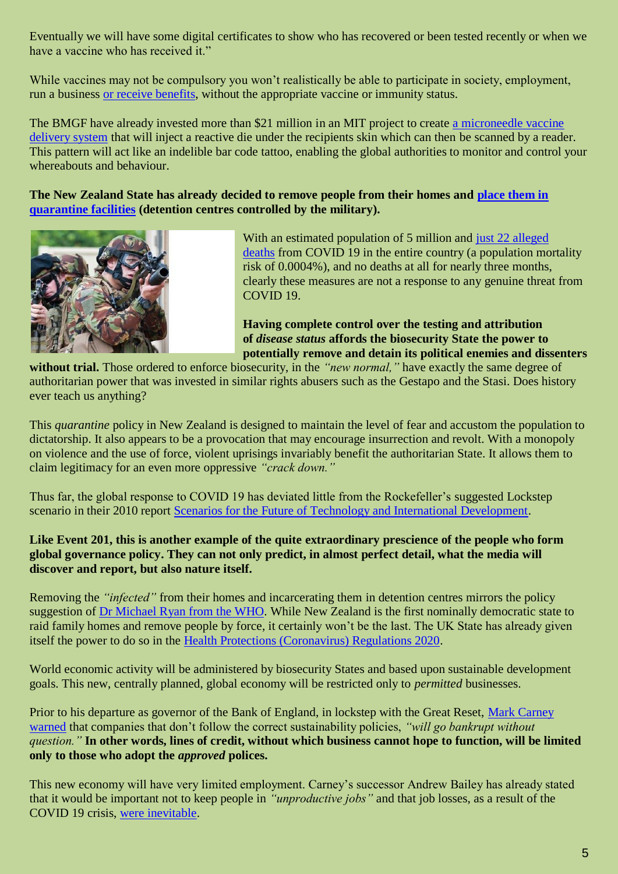Eventually we will have some digital certificates to show who has recovered or been tested recently or when we have a vaccine who has received it."

While vaccines may not be compulsory you won't realistically be able to participate in society, employment, run a business [or receive benefits,](https://www.ladbible.com/news/latest-government-considering-removing-subsidy-from-covid-19-vaccine-objector-20200820) without the appropriate vaccine or immunity status.

The BMGF have already invested more than \$21 million in an MIT project to create [a microneedle vaccine](https://www.scientificamerican.com/article/invisible-ink-could-reveal-whether-kids-have-been-vaccinated/)  [delivery system](https://www.scientificamerican.com/article/invisible-ink-could-reveal-whether-kids-have-been-vaccinated/) that will inject a reactive die under the recipients skin which can then be scanned by a reader. This pattern will act like an indelible bar code tattoo, enabling the global authorities to monitor and control your whereabouts and behaviour.

**The New Zealand State has already decided to remove people from their homes and [place them in](https://web.archive.org/web/20200821191624/https:/amp.theguardian.com/world/2020/aug/19/new-zealand-sends-500-military-staff-to-bolster-quarantine-facilities)  [quarantine facilities](https://web.archive.org/web/20200821191624/https:/amp.theguardian.com/world/2020/aug/19/new-zealand-sends-500-military-staff-to-bolster-quarantine-facilities) (detention centres controlled by the military).**



With an estimated population of 5 million and [just 22 alleged](https://web.archive.org/web/20200823003852/https:/www.worldometers.info/coronavirus/)  [deaths](https://web.archive.org/web/20200823003852/https:/www.worldometers.info/coronavirus/) from COVID 19 in the entire country (a population mortality risk of 0.0004%), and no deaths at all for nearly three months, clearly these measures are not a response to any genuine threat from COVID 19.

**Having complete control over the testing and attribution of** *disease status* **affords the biosecurity State the power to potentially remove and detain its political enemies and dissenters** 

**without trial.** Those ordered to enforce biosecurity, in the *"new normal,"* have exactly the same degree of authoritarian power that was invested in similar rights abusers such as the Gestapo and the Stasi. Does history ever teach us anything?

This *quarantine* policy in New Zealand is designed to maintain the level of fear and accustom the population to dictatorship. It also appears to be a provocation that may encourage insurrection and revolt. With a monopoly on violence and the use of force, violent uprisings invariably benefit the authoritarian State. It allows them to claim legitimacy for an even more oppressive *"crack down."*

Thus far, the global response to COVID 19 has deviated little from the Rockefeller's suggested Lockstep scenario in their 2010 report [Scenarios for the Future of Technology and International Development.](https://www.nommeraadio.ee/meedia/pdf/RRS/Rockefeller%20Foundation.pdf)

## **Like Event 201, this is another example of the quite extraordinary prescience of the people who form global governance policy. They can not only predict, in almost perfect detail, what the media will discover and report, but also nature itself.**

Removing the *"infected"* from their homes and incarcerating them in detention centres mirrors the policy suggestion of [Dr Michael Ryan from the WHO.](https://www.youtube.com/watch?v=kgHeuzM6mDU) While New Zealand is the first nominally democratic state to raid family homes and remove people by force, it certainly won't be the last. The UK State has already given itself the power to do so in the [Health Protections \(Coronavirus\) Regulations 2020.](https://architectsforsocialhousing.co.uk/2020/05/12/the-state-of-emergency-as-paradigm-of-government-coronavirus-legislation-implementation-and-enforcement/)

World economic activity will be administered by biosecurity States and based upon sustainable development goals. This new, centrally planned, global economy will be restricted only to *permitted* businesses.

Prior to his departure as governor of the Bank of England, in lockstep with the Great Reset, [Mark Carney](https://www.independent.co.uk/news/uk/politics/climate-change-companies-bankrupt-mark-carney-impact-a9030231.html)  [warned](https://www.independent.co.uk/news/uk/politics/climate-change-companies-bankrupt-mark-carney-impact-a9030231.html) that companies that don't follow the correct sustainability policies, *"will go bankrupt without question."* **In other words, lines of credit, without which business cannot hope to function, will be limited only to those who adopt the** *approved* **polices.**

This new economy will have very limited employment. Carney's successor Andrew Bailey has already stated that it would be important not to keep people in *"unproductive jobs"* and that job losses, as a result of the COVID 19 crisis, [were inevitable.](https://web.archive.org/web/20200806111938/https:/www.bbc.com/news/business-53675467)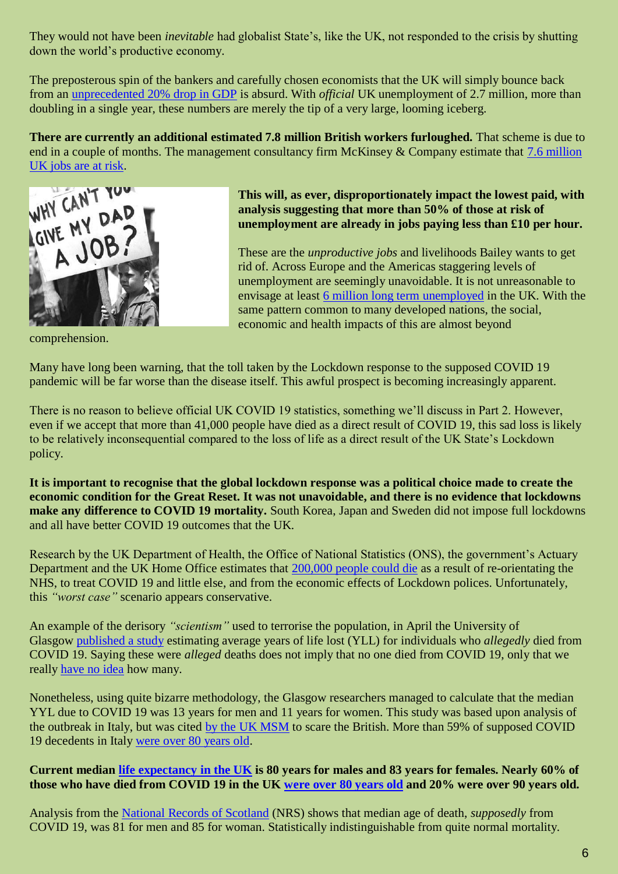They would not have been *inevitable* had globalist State's, like the UK, not responded to the crisis by shutting down the world's productive economy.

The preposterous spin of the bankers and carefully chosen economists that the UK will simply bounce back from an [unprecedented 20% drop in GDP](https://web.archive.org/web/20200812081402/https:/www.theguardian.com/business/2020/aug/09/uk-to-fall-into-deepest-slump-on-record-with-worst-fall-in-gdp-among-g7) is absurd. With *official* UK unemployment of 2.7 million, more than doubling in a single year, these numbers are merely the tip of a very large, looming iceberg.

**There are currently an additional estimated 7.8 million British workers furloughed.** That scheme is due to end in a couple of months. The management consultancy firm McKinsey & Company estimate that [7.6 million](https://www.mckinsey.com/industries/public-and-social-sector/our-insights/covid-19-in-the-united-kingdom-assessing-jobs-at-risk-and-the-impact-on-people-and-places)  [UK jobs are at risk.](https://www.mckinsey.com/industries/public-and-social-sector/our-insights/covid-19-in-the-united-kingdom-assessing-jobs-at-risk-and-the-impact-on-people-and-places)



comprehension.

**This will, as ever, disproportionately impact the lowest paid, with analysis suggesting that more than 50% of those at risk of unemployment are already in jobs paying less than £10 per hour.**

These are the *unproductive jobs* and livelihoods Bailey wants to get rid of. Across Europe and the Americas staggering levels of unemployment are seemingly unavoidable. It is not unreasonable to envisage at least [6 million long term unemployed](https://www.niesr.ac.uk/sites/default/files/publications/US%20and%20UK%20Labour%20Markets%20Before%20and%20During%20the%20Covid-19%20Crash.pdf) in the UK. With the same pattern common to many developed nations, the social, economic and health impacts of this are almost beyond

Many have long been warning, that the toll taken by the Lockdown response to the supposed COVID 19 pandemic will be far worse than the disease itself. This awful prospect is becoming increasingly apparent.

There is no reason to believe official UK COVID 19 statistics, something we'll discuss in Part 2. However, even if we accept that more than 41,000 people have died as a direct result of COVID 19, this sad loss is likely to be relatively inconsequential compared to the loss of life as a direct result of the UK State's Lockdown policy.

**It is important to recognise that the global lockdown response was a political choice made to create the economic condition for the Great Reset. It was not unavoidable, and there is no evidence that lockdowns make any difference to COVID 19 mortality.** South Korea, Japan and Sweden did not impose full lockdowns and all have better COVID 19 outcomes that the UK.

Research by the UK Department of Health, the Office of National Statistics (ONS), the government's Actuary Department and the UK Home Office estimates that [200,000 people could die](https://medium.com/@rickbordan/lockdown-may-cost-200-000-lives-government-report-shows-dcb68604f66d) as a result of re-orientating the NHS, to treat COVID 19 and little else, and from the economic effects of Lockdown polices. Unfortunately, this *"worst case"* scenario appears conservative.

An example of the derisory *"scientism"* used to terrorise the population, in April the University of Glasgow [published a study](https://wellcomeopenresearch.org/articles/5-75) estimating average years of life lost (YLL) for individuals who *allegedly* died from COVID 19. Saying these were *alleged* deaths does not imply that no one died from COVID 19, only that we really [have no idea](https://in-this-together.com/covid-19-is-a-statistical-nonsense/) how many.

Nonetheless, using quite bizarre methodology, the Glasgow researchers managed to calculate that the median YYL due to COVID 19 was 13 years for men and 11 years for women. This study was based upon analysis of the outbreak in Italy, but was cited [by the UK MSM](https://www.thesun.co.uk/news/11467696/coronavirus-takes-years-off-peoples-lives-before-died-naturally/) to scare the British. More than 59% of supposed COVID 19 decedents in Italy [were over 80 years old.](https://www.statista.com/statistics/1105061/coronavirus-deaths-by-region-in-italy/)

## **Current median [life expectancy in the UK](https://www.ons.gov.uk/peoplepopulationandcommunity/birthsdeathsandmarriages/lifeexpectancies/bulletins/nationallifetablesunitedkingdom/2016to2018) is 80 years for males and 83 years for females. Nearly 60% of those who have died from COVID 19 in the UK [were over 80 years old](https://www.theguardian.com/uk-news/2020/may/13/pensioners-34-times-more-likely-to-die-of-covid-19-than-working-age-brits-data-shows) and 20% were over 90 years old.**

Analysis from the National [Records of Scotland](https://web.archive.org/web/20200803190443/https:/www.dailymail.co.uk/news/article-8470843/The-average-Covid-19-victim-OLDER-age-people-usually-die-Scotland.html) (NRS) shows that median age of death, *supposedly* from COVID 19, was 81 for men and 85 for woman. Statistically indistinguishable from quite normal mortality.